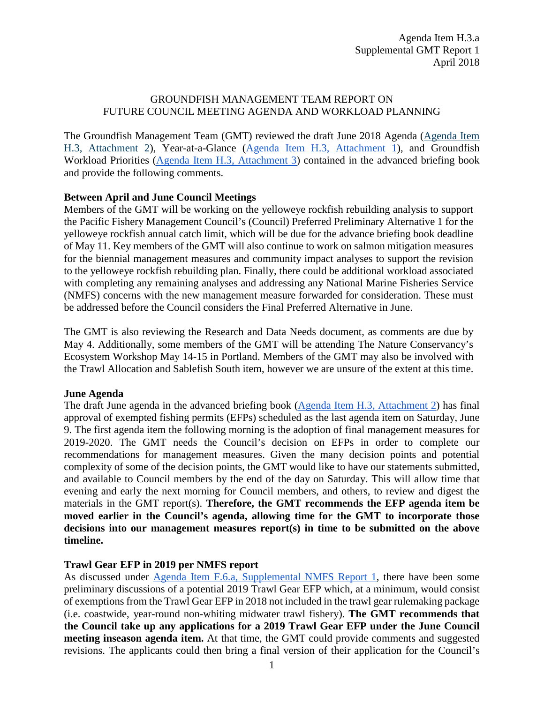# GROUNDFISH MANAGEMENT TEAM REPORT ON FUTURE COUNCIL MEETING AGENDA AND WORKLOAD PLANNING

The Groundfish Management Team (GMT) reviewed the draft June 2018 Agenda [\(Agenda Item](https://www.pcouncil.org/wp-content/uploads/2018/03/H3_Att2_JuneQR_APRILBB2018_v2.pdf)  [H.3, Attachment 2\)](https://www.pcouncil.org/wp-content/uploads/2018/03/H3_Att2_JuneQR_APRILBB2018_v2.pdf), Year-at-a-Glance [\(Agenda Item H.3, Attachment 1\)](https://www.pcouncil.org/wp-content/uploads/2018/03/H3_Att1_YAG_APRILBB2018.pdf), and Groundfish Workload Priorities [\(Agenda Item H.3, Attachment 3\)](https://www.pcouncil.org/wp-content/uploads/2018/03/H3_Att3_GFworkload_APRIL2018BB_v2.pdf) contained in the advanced briefing book and provide the following comments.

## **Between April and June Council Meetings**

Members of the GMT will be working on the yelloweye rockfish rebuilding analysis to support the Pacific Fishery Management Council's (Council) Preferred Preliminary Alternative 1 for the yelloweye rockfish annual catch limit, which will be due for the advance briefing book deadline of May 11. Key members of the GMT will also continue to work on salmon mitigation measures for the biennial management measures and community impact analyses to support the revision to the yelloweye rockfish rebuilding plan. Finally, there could be additional workload associated with completing any remaining analyses and addressing any National Marine Fisheries Service (NMFS) concerns with the new management measure forwarded for consideration. These must be addressed before the Council considers the Final Preferred Alternative in June.

The GMT is also reviewing the Research and Data Needs document, as comments are due by May 4. Additionally, some members of the GMT will be attending The Nature Conservancy's Ecosystem Workshop May 14-15 in Portland. Members of the GMT may also be involved with the Trawl Allocation and Sablefish South item, however we are unsure of the extent at this time.

#### **June Agenda**

The draft June agenda in the advanced briefing book [\(Agenda Item H.3,](https://www.pcouncil.org/wp-content/uploads/2018/03/H3_Att2_JuneQR_APRILBB2018_v2.pdf) Attachment 2) has final approval of exempted fishing permits (EFPs) scheduled as the last agenda item on Saturday, June 9. The first agenda item the following morning is the adoption of final management measures for 2019-2020. The GMT needs the Council's decision on EFPs in order to complete our recommendations for management measures. Given the many decision points and potential complexity of some of the decision points, the GMT would like to have our statements submitted, and available to Council members by the end of the day on Saturday. This will allow time that evening and early the next morning for Council members, and others, to review and digest the materials in the GMT report(s). **Therefore, the GMT recommends the EFP agenda item be moved earlier in the Council's agenda, allowing time for the GMT to incorporate those decisions into our management measures report(s) in time to be submitted on the above timeline.** 

#### **Trawl Gear EFP in 2019 per NMFS report**

As discussed under [Agenda Item F.6.a, Supplemental NMFS Report 1,](https://www.pcouncil.org/wp-content/uploads/2018/04/F6a_Supp_NMFS_Rpt1_Apr2018BB.pdf) there have been some preliminary discussions of a potential 2019 Trawl Gear EFP which, at a minimum, would consist of exemptions from the Trawl Gear EFP in 2018 not included in the trawl gear rulemaking package (i.e. coastwide, year-round non-whiting midwater trawl fishery). **The GMT recommends that the Council take up any applications for a 2019 Trawl Gear EFP under the June Council meeting inseason agenda item.** At that time, the GMT could provide comments and suggested revisions. The applicants could then bring a final version of their application for the Council's